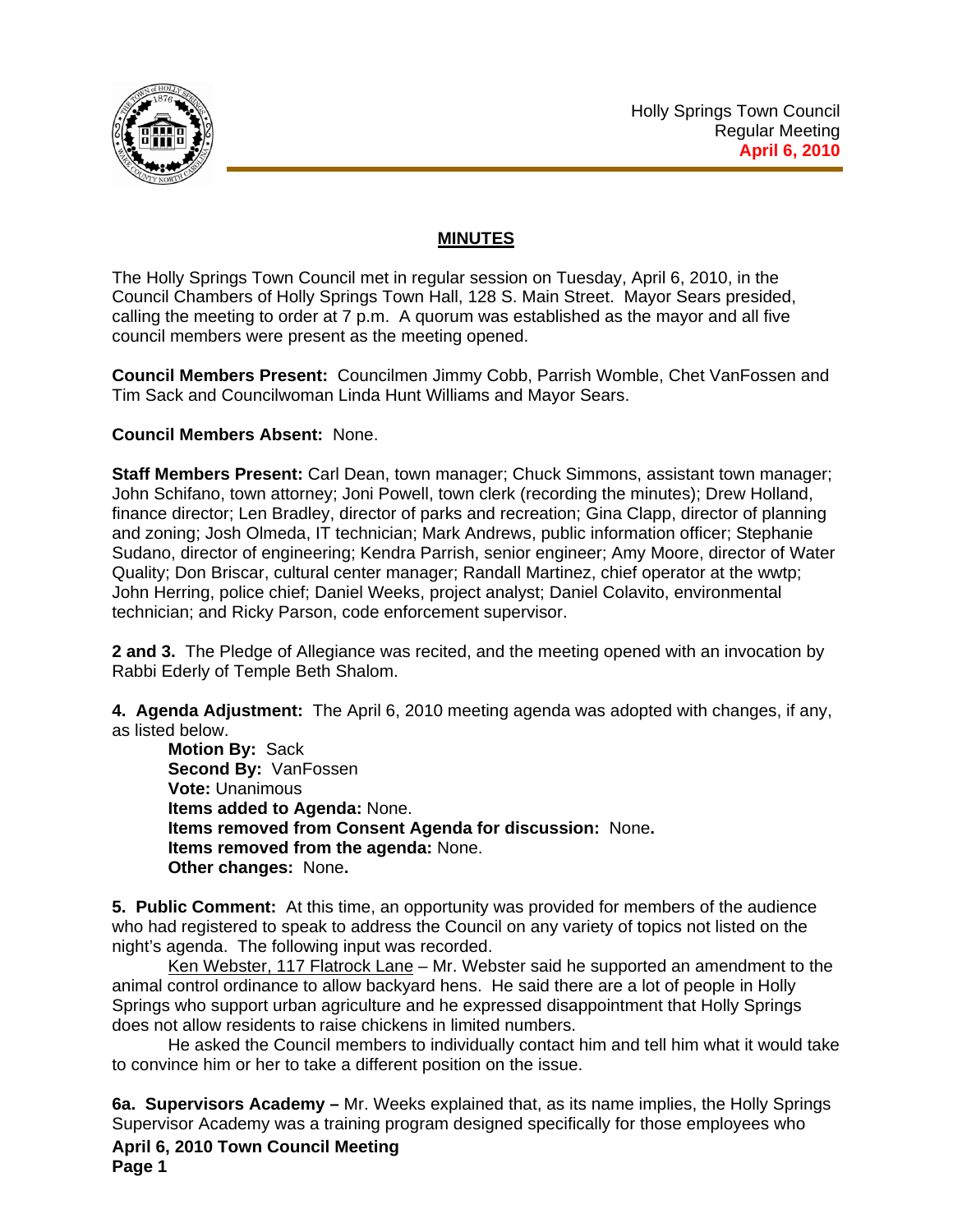

## **MINUTES**

The Holly Springs Town Council met in regular session on Tuesday, April 6, 2010, in the Council Chambers of Holly Springs Town Hall, 128 S. Main Street. Mayor Sears presided, calling the meeting to order at 7 p.m. A quorum was established as the mayor and all five council members were present as the meeting opened.

**Council Members Present:** Councilmen Jimmy Cobb, Parrish Womble, Chet VanFossen and Tim Sack and Councilwoman Linda Hunt Williams and Mayor Sears.

## **Council Members Absent:** None.

**Staff Members Present:** Carl Dean, town manager; Chuck Simmons, assistant town manager; John Schifano, town attorney; Joni Powell, town clerk (recording the minutes); Drew Holland, finance director; Len Bradley, director of parks and recreation; Gina Clapp, director of planning and zoning; Josh Olmeda, IT technician; Mark Andrews, public information officer; Stephanie Sudano, director of engineering; Kendra Parrish, senior engineer; Amy Moore, director of Water Quality; Don Briscar, cultural center manager; Randall Martinez, chief operator at the wwtp; John Herring, police chief; Daniel Weeks, project analyst; Daniel Colavito, environmental technician; and Ricky Parson, code enforcement supervisor.

**2 and 3.** The Pledge of Allegiance was recited, and the meeting opened with an invocation by Rabbi Ederly of Temple Beth Shalom.

**4. Agenda Adjustment:** The April 6, 2010 meeting agenda was adopted with changes, if any, as listed below.

**Motion By:** Sack **Second By:** VanFossen **Vote:** Unanimous **Items added to Agenda:** None. **Items removed from Consent Agenda for discussion:** None**. Items removed from the agenda:** None. **Other changes:** None**.** 

**5. Public Comment:** At this time, an opportunity was provided for members of the audience who had registered to speak to address the Council on any variety of topics not listed on the night's agenda. The following input was recorded.

Ken Webster, 117 Flatrock Lane – Mr. Webster said he supported an amendment to the animal control ordinance to allow backyard hens. He said there are a lot of people in Holly Springs who support urban agriculture and he expressed disappointment that Holly Springs does not allow residents to raise chickens in limited numbers.

He asked the Council members to individually contact him and tell him what it would take to convince him or her to take a different position on the issue.

**April 6, 2010 Town Council Meeting Page 1 6a. Supervisors Academy –** Mr. Weeks explained that, as its name implies, the Holly Springs Supervisor Academy was a training program designed specifically for those employees who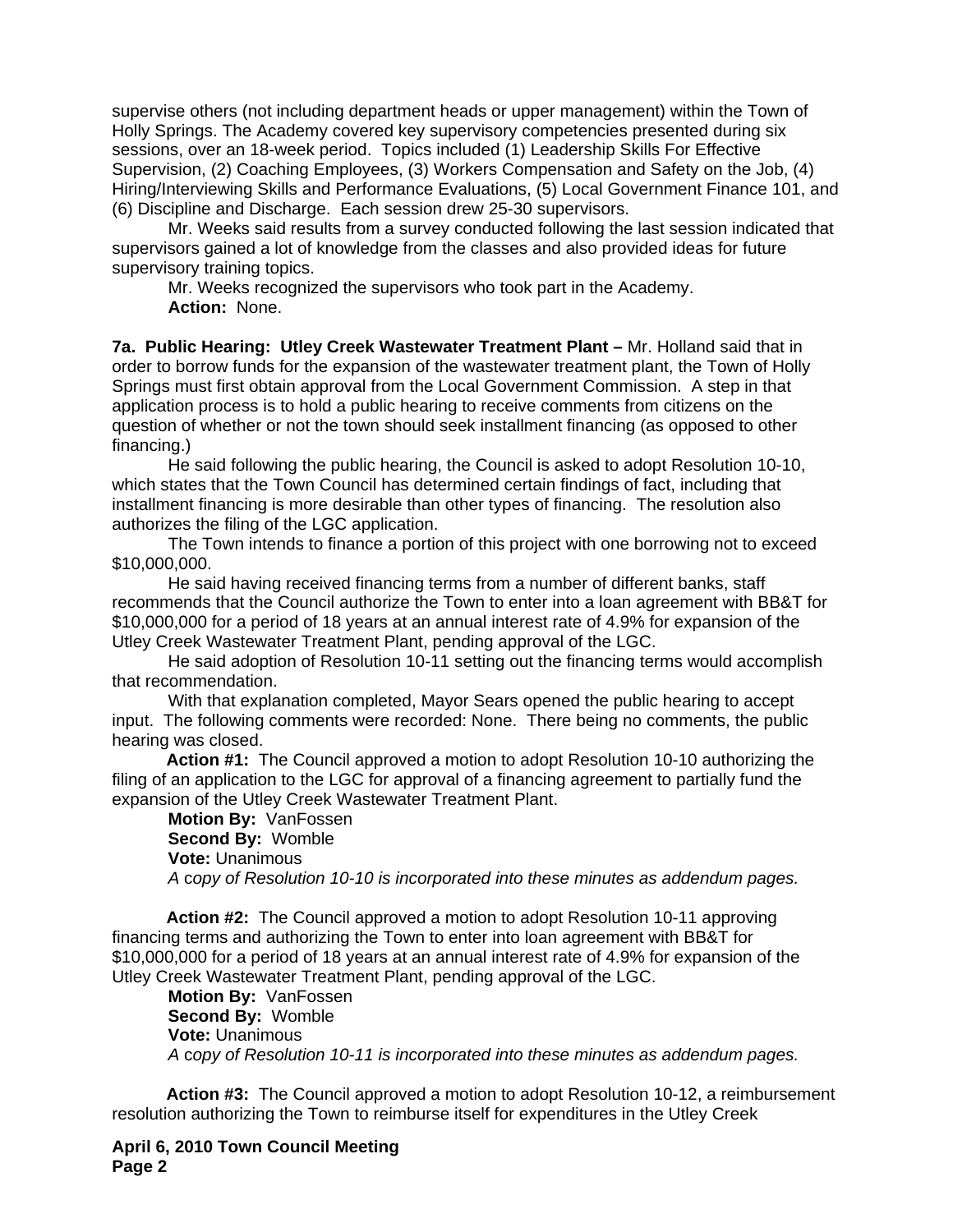supervise others (not including department heads or upper management) within the Town of Holly Springs. The Academy covered key supervisory competencies presented during six sessions, over an 18-week period. Topics included (1) Leadership Skills For Effective Supervision, (2) Coaching Employees, (3) Workers Compensation and Safety on the Job, (4) Hiring/Interviewing Skills and Performance Evaluations, (5) Local Government Finance 101, and (6) Discipline and Discharge. Each session drew 25-30 supervisors.

 Mr. Weeks said results from a survey conducted following the last session indicated that supervisors gained a lot of knowledge from the classes and also provided ideas for future supervisory training topics.

 Mr. Weeks recognized the supervisors who took part in the Academy. **Action:** None.

**7a. Public Hearing: Utley Creek Wastewater Treatment Plant –** Mr. Holland said that in order to borrow funds for the expansion of the wastewater treatment plant, the Town of Holly Springs must first obtain approval from the Local Government Commission. A step in that application process is to hold a public hearing to receive comments from citizens on the question of whether or not the town should seek installment financing (as opposed to other financing.)

 He said following the public hearing, the Council is asked to adopt Resolution 10-10, which states that the Town Council has determined certain findings of fact, including that installment financing is more desirable than other types of financing. The resolution also authorizes the filing of the LGC application.

 The Town intends to finance a portion of this project with one borrowing not to exceed \$10,000,000.

 He said having received financing terms from a number of different banks, staff recommends that the Council authorize the Town to enter into a loan agreement with BB&T for \$10,000,000 for a period of 18 years at an annual interest rate of 4.9% for expansion of the Utley Creek Wastewater Treatment Plant, pending approval of the LGC.

 He said adoption of Resolution 10-11 setting out the financing terms would accomplish that recommendation.

 With that explanation completed, Mayor Sears opened the public hearing to accept input. The following comments were recorded: None. There being no comments, the public hearing was closed.

 **Action #1:** The Council approved a motion to adopt Resolution 10-10 authorizing the filing of an application to the LGC for approval of a financing agreement to partially fund the expansion of the Utley Creek Wastewater Treatment Plant.

**Motion By:** VanFossen **Second By:** Womble **Vote:** Unanimous  *A* c*opy of Resolution 10-10 is incorporated into these minutes as addendum pages.*

 **Action #2:** The Council approved a motion to adopt Resolution 10-11 approving financing terms and authorizing the Town to enter into loan agreement with BB&T for \$10,000,000 for a period of 18 years at an annual interest rate of 4.9% for expansion of the Utley Creek Wastewater Treatment Plant, pending approval of the LGC.

**Motion By:** VanFossen **Second By:** Womble **Vote:** Unanimous  *A* c*opy of Resolution 10-11 is incorporated into these minutes as addendum pages.*

 **Action #3:** The Council approved a motion to adopt Resolution 10-12, a reimbursement resolution authorizing the Town to reimburse itself for expenditures in the Utley Creek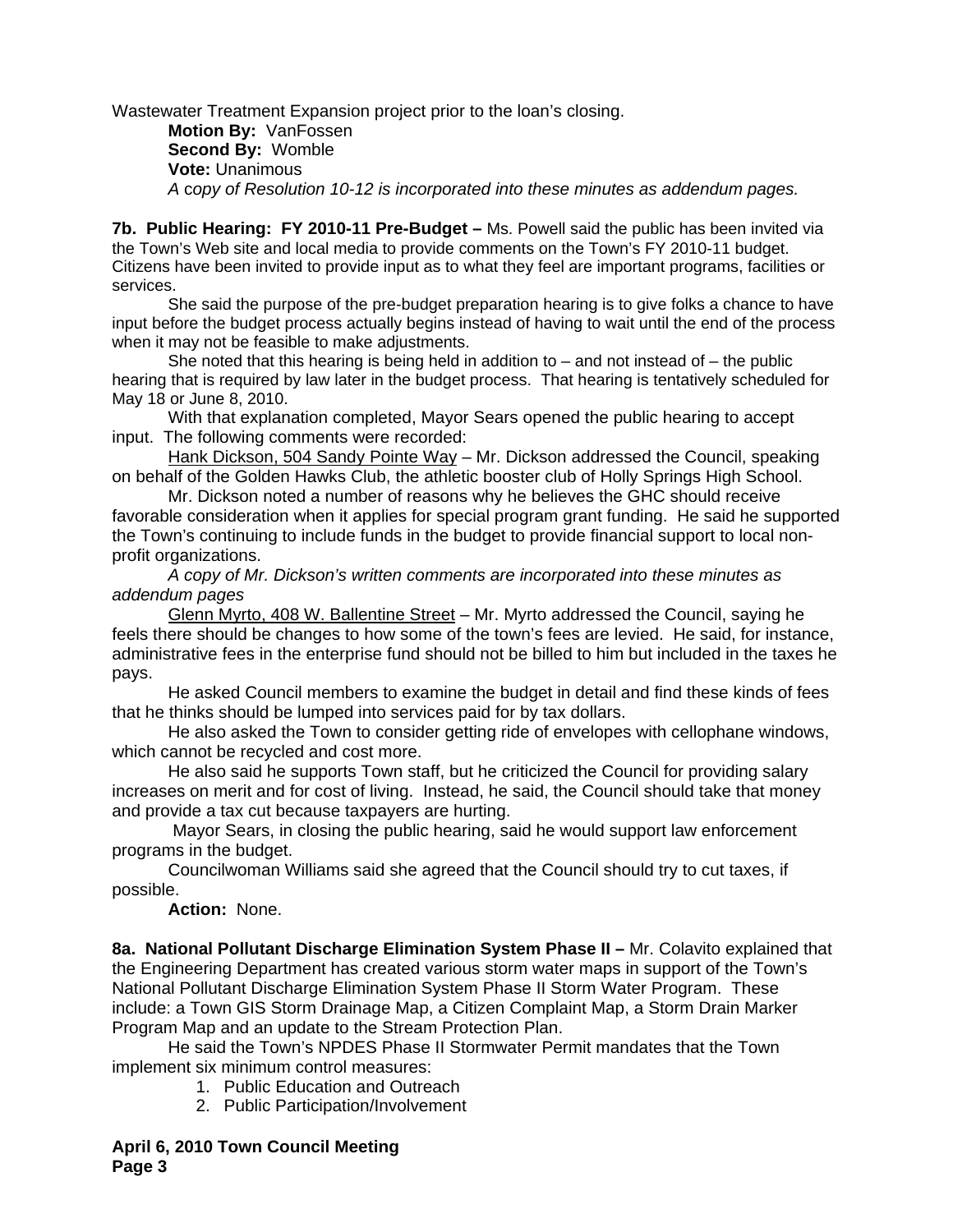Wastewater Treatment Expansion project prior to the loan's closing.

**Motion By:** VanFossen **Second By:** Womble **Vote:** Unanimous  *A* c*opy of Resolution 10-12 is incorporated into these minutes as addendum pages.*

**7b. Public Hearing: FY 2010-11 Pre-Budget –** Ms. Powell said the public has been invited via the Town's Web site and local media to provide comments on the Town's FY 2010-11 budget. Citizens have been invited to provide input as to what they feel are important programs, facilities or services.

 She said the purpose of the pre-budget preparation hearing is to give folks a chance to have input before the budget process actually begins instead of having to wait until the end of the process when it may not be feasible to make adjustments.

She noted that this hearing is being held in addition to  $-$  and not instead of  $-$  the public hearing that is required by law later in the budget process. That hearing is tentatively scheduled for May 18 or June 8, 2010.

With that explanation completed, Mayor Sears opened the public hearing to accept input. The following comments were recorded:

Hank Dickson, 504 Sandy Pointe Way – Mr. Dickson addressed the Council, speaking on behalf of the Golden Hawks Club, the athletic booster club of Holly Springs High School.

Mr. Dickson noted a number of reasons why he believes the GHC should receive favorable consideration when it applies for special program grant funding. He said he supported the Town's continuing to include funds in the budget to provide financial support to local nonprofit organizations.

*A copy of Mr. Dickson's written comments are incorporated into these minutes as addendum pages* 

Glenn Myrto, 408 W. Ballentine Street – Mr. Myrto addressed the Council, saying he feels there should be changes to how some of the town's fees are levied. He said, for instance, administrative fees in the enterprise fund should not be billed to him but included in the taxes he pays.

He asked Council members to examine the budget in detail and find these kinds of fees that he thinks should be lumped into services paid for by tax dollars.

He also asked the Town to consider getting ride of envelopes with cellophane windows, which cannot be recycled and cost more.

He also said he supports Town staff, but he criticized the Council for providing salary increases on merit and for cost of living. Instead, he said, the Council should take that money and provide a tax cut because taxpayers are hurting.

 Mayor Sears, in closing the public hearing, said he would support law enforcement programs in the budget.

Councilwoman Williams said she agreed that the Council should try to cut taxes, if possible.

**Action:** None.

**8a. National Pollutant Discharge Elimination System Phase II –** Mr. Colavito explained that the Engineering Department has created various storm water maps in support of the Town's National Pollutant Discharge Elimination System Phase II Storm Water Program. These include: a Town GIS Storm Drainage Map, a Citizen Complaint Map, a Storm Drain Marker Program Map and an update to the Stream Protection Plan.

He said the Town's NPDES Phase II Stormwater Permit mandates that the Town implement six minimum control measures:

- 1. Public Education and Outreach
- 2. Public Participation/Involvement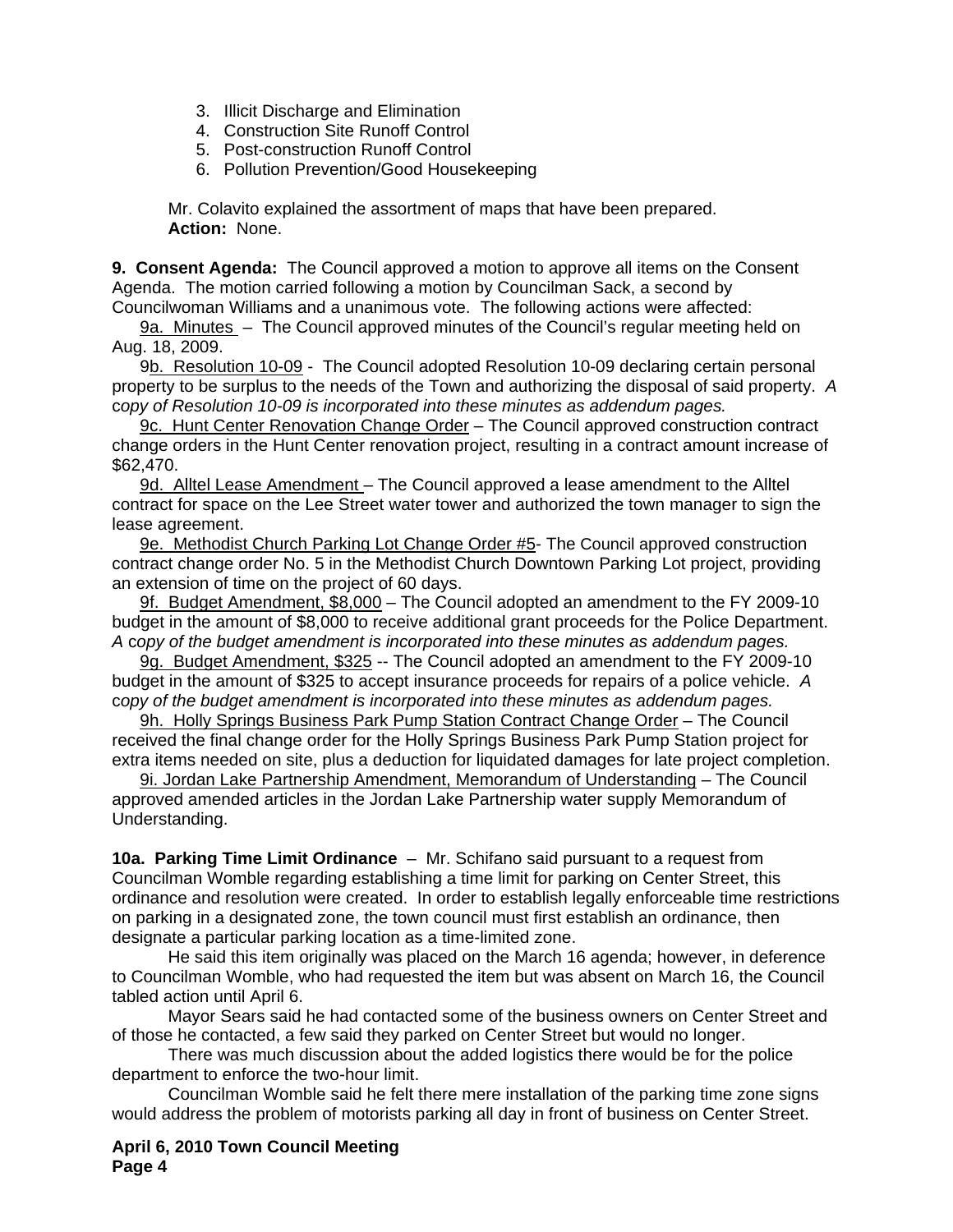- 3. Illicit Discharge and Elimination
- 4. Construction Site Runoff Control
- 5. Post-construction Runoff Control
- 6. Pollution Prevention/Good Housekeeping

Mr. Colavito explained the assortment of maps that have been prepared. **Action:** None.

**9. Consent Agenda:** The Council approved a motion to approve all items on the Consent Agenda. The motion carried following a motion by Councilman Sack, a second by Councilwoman Williams and a unanimous vote. The following actions were affected:

9a. Minutes – The Council approved minutes of the Council's regular meeting held on Aug. 18, 2009.

9b. Resolution 10-09 - The Council adopted Resolution 10-09 declaring certain personal property to be surplus to the needs of the Town and authorizing the disposal of said property. *A*  c*opy of Resolution 10-09 is incorporated into these minutes as addendum pages.*

9c. Hunt Center Renovation Change Order - The Council approved construction contract change orders in the Hunt Center renovation project, resulting in a contract amount increase of \$62,470.

9d. Alltel Lease Amendment - The Council approved a lease amendment to the Alltel contract for space on the Lee Street water tower and authorized the town manager to sign the lease agreement.

9e. Methodist Church Parking Lot Change Order #5- The Council approved construction contract change order No. 5 in the Methodist Church Downtown Parking Lot project, providing an extension of time on the project of 60 days.

9f. Budget Amendment, \$8,000 – The Council adopted an amendment to the FY 2009-10 budget in the amount of \$8,000 to receive additional grant proceeds for the Police Department. *A* c*opy of the budget amendment is incorporated into these minutes as addendum pages.*

9g. Budget Amendment, \$325 -- The Council adopted an amendment to the FY 2009-10 budget in the amount of \$325 to accept insurance proceeds for repairs of a police vehicle. *A*  c*opy of the budget amendment is incorporated into these minutes as addendum pages.*

9h. Holly Springs Business Park Pump Station Contract Change Order – The Council received the final change order for the Holly Springs Business Park Pump Station project for extra items needed on site, plus a deduction for liquidated damages for late project completion.

9i. Jordan Lake Partnership Amendment, Memorandum of Understanding – The Council approved amended articles in the Jordan Lake Partnership water supply Memorandum of Understanding.

**10a. Parking Time Limit Ordinance** – Mr. Schifano said pursuant to a request from Councilman Womble regarding establishing a time limit for parking on Center Street, this ordinance and resolution were created. In order to establish legally enforceable time restrictions on parking in a designated zone, the town council must first establish an ordinance, then designate a particular parking location as a time-limited zone.

 He said this item originally was placed on the March 16 agenda; however, in deference to Councilman Womble, who had requested the item but was absent on March 16, the Council tabled action until April 6.

 Mayor Sears said he had contacted some of the business owners on Center Street and of those he contacted, a few said they parked on Center Street but would no longer.

 There was much discussion about the added logistics there would be for the police department to enforce the two-hour limit.

 Councilman Womble said he felt there mere installation of the parking time zone signs would address the problem of motorists parking all day in front of business on Center Street.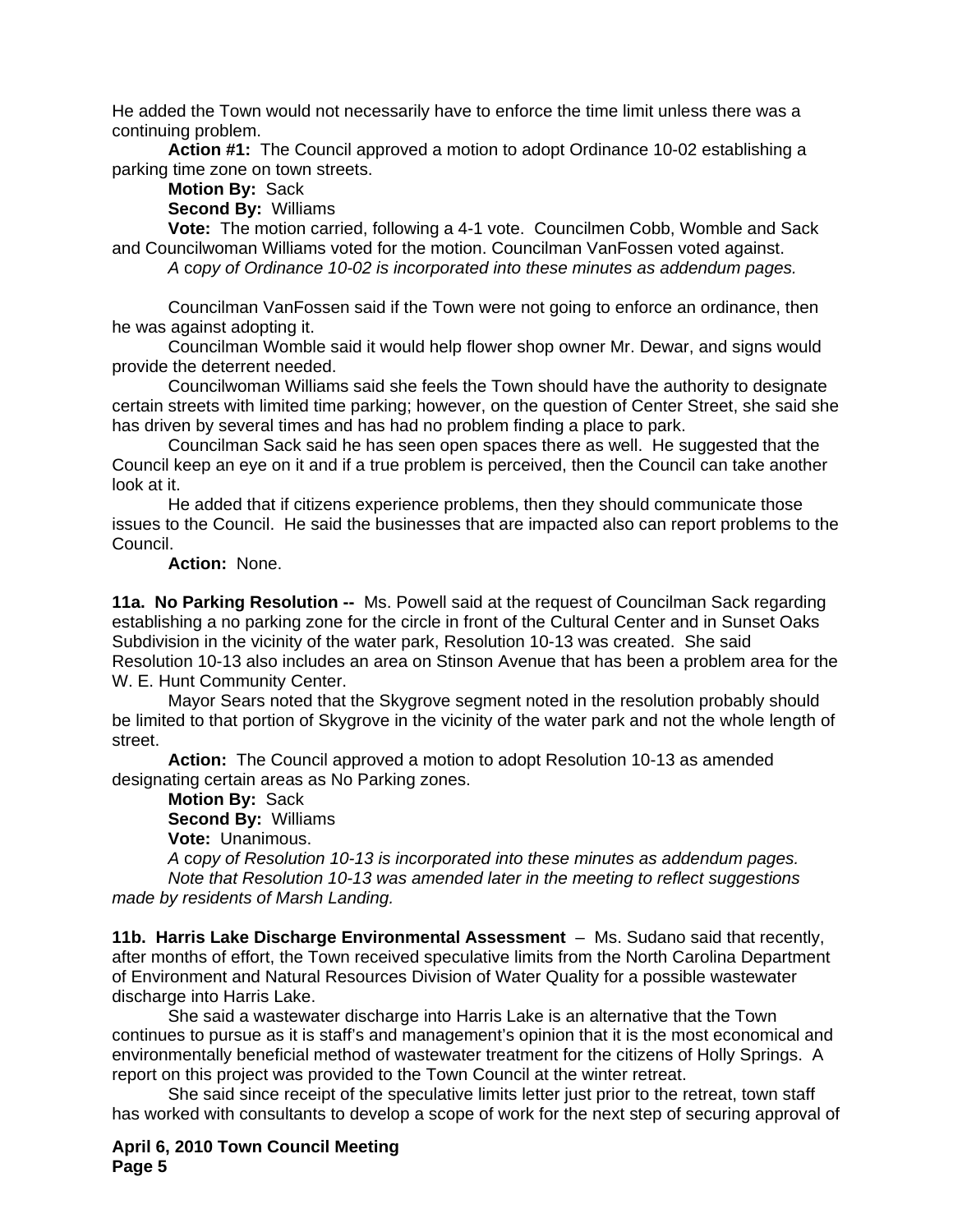He added the Town would not necessarily have to enforce the time limit unless there was a continuing problem.

**Action #1:** The Council approved a motion to adopt Ordinance 10-02 establishing a parking time zone on town streets.

**Motion By:** Sack

**Second By:** Williams

**Vote:** The motion carried, following a 4-1 vote. Councilmen Cobb, Womble and Sack and Councilwoman Williams voted for the motion. Councilman VanFossen voted against.

*A* c*opy of Ordinance 10-02 is incorporated into these minutes as addendum pages.*

Councilman VanFossen said if the Town were not going to enforce an ordinance, then he was against adopting it.

Councilman Womble said it would help flower shop owner Mr. Dewar, and signs would provide the deterrent needed.

Councilwoman Williams said she feels the Town should have the authority to designate certain streets with limited time parking; however, on the question of Center Street, she said she has driven by several times and has had no problem finding a place to park.

Councilman Sack said he has seen open spaces there as well. He suggested that the Council keep an eye on it and if a true problem is perceived, then the Council can take another look at it.

He added that if citizens experience problems, then they should communicate those issues to the Council. He said the businesses that are impacted also can report problems to the Council.

## **Action:** None.

**11a. No Parking Resolution --** Ms. Powell said at the request of Councilman Sack regarding establishing a no parking zone for the circle in front of the Cultural Center and in Sunset Oaks Subdivision in the vicinity of the water park, Resolution 10-13 was created. She said Resolution 10-13 also includes an area on Stinson Avenue that has been a problem area for the W. E. Hunt Community Center.

Mayor Sears noted that the Skygrove segment noted in the resolution probably should be limited to that portion of Skygrove in the vicinity of the water park and not the whole length of street.

 **Action:** The Council approved a motion to adopt Resolution 10-13 as amended designating certain areas as No Parking zones.

**Motion By:** Sack **Second By:** Williams **Vote:** Unanimous.

*A* c*opy of Resolution 10-13 is incorporated into these minutes as addendum pages. Note that Resolution 10-13 was amended later in the meeting to reflect suggestions made by residents of Marsh Landing.* 

**11b. Harris Lake Discharge Environmental Assessment** – Ms. Sudano said that recently, after months of effort, the Town received speculative limits from the North Carolina Department of Environment and Natural Resources Division of Water Quality for a possible wastewater discharge into Harris Lake.

 She said a wastewater discharge into Harris Lake is an alternative that the Town continues to pursue as it is staff's and management's opinion that it is the most economical and environmentally beneficial method of wastewater treatment for the citizens of Holly Springs. A report on this project was provided to the Town Council at the winter retreat.

 She said since receipt of the speculative limits letter just prior to the retreat, town staff has worked with consultants to develop a scope of work for the next step of securing approval of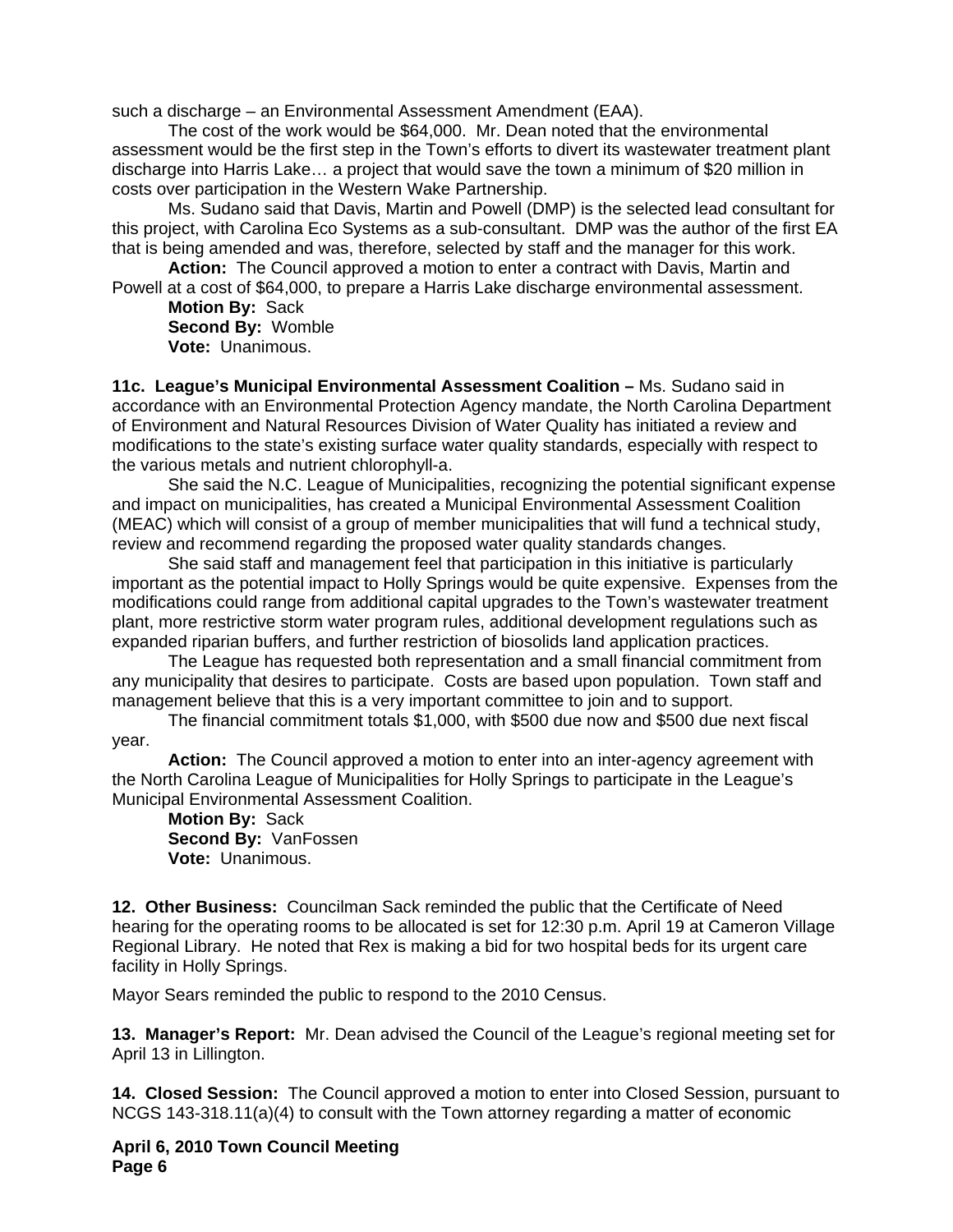such a discharge – an Environmental Assessment Amendment (EAA).

 The cost of the work would be \$64,000. Mr. Dean noted that the environmental assessment would be the first step in the Town's efforts to divert its wastewater treatment plant discharge into Harris Lake… a project that would save the town a minimum of \$20 million in costs over participation in the Western Wake Partnership.

 Ms. Sudano said that Davis, Martin and Powell (DMP) is the selected lead consultant for this project, with Carolina Eco Systems as a sub-consultant. DMP was the author of the first EA that is being amended and was, therefore, selected by staff and the manager for this work.

**Action:** The Council approved a motion to enter a contract with Davis, Martin and Powell at a cost of \$64,000, to prepare a Harris Lake discharge environmental assessment.

**Motion By:** Sack **Second By:** Womble **Vote:** Unanimous.

**11c. League's Municipal Environmental Assessment Coalition –** Ms. Sudano said in accordance with an Environmental Protection Agency mandate, the North Carolina Department of Environment and Natural Resources Division of Water Quality has initiated a review and modifications to the state's existing surface water quality standards, especially with respect to the various metals and nutrient chlorophyll-a.

 She said the N.C. League of Municipalities, recognizing the potential significant expense and impact on municipalities, has created a Municipal Environmental Assessment Coalition (MEAC) which will consist of a group of member municipalities that will fund a technical study, review and recommend regarding the proposed water quality standards changes.

 She said staff and management feel that participation in this initiative is particularly important as the potential impact to Holly Springs would be quite expensive. Expenses from the modifications could range from additional capital upgrades to the Town's wastewater treatment plant, more restrictive storm water program rules, additional development regulations such as expanded riparian buffers, and further restriction of biosolids land application practices.

 The League has requested both representation and a small financial commitment from any municipality that desires to participate. Costs are based upon population. Town staff and management believe that this is a very important committee to join and to support.

 The financial commitment totals \$1,000, with \$500 due now and \$500 due next fiscal year.

**Action:** The Council approved a motion to enter into an inter-agency agreement with the North Carolina League of Municipalities for Holly Springs to participate in the League's Municipal Environmental Assessment Coalition.

**Motion By:** Sack **Second By:** VanFossen **Vote:** Unanimous.

**12. Other Business:** Councilman Sack reminded the public that the Certificate of Need hearing for the operating rooms to be allocated is set for 12:30 p.m. April 19 at Cameron Village Regional Library. He noted that Rex is making a bid for two hospital beds for its urgent care facility in Holly Springs.

Mayor Sears reminded the public to respond to the 2010 Census.

**13. Manager's Report:** Mr. Dean advised the Council of the League's regional meeting set for April 13 in Lillington.

**14. Closed Session:** The Council approved a motion to enter into Closed Session, pursuant to NCGS 143-318.11(a)(4) to consult with the Town attorney regarding a matter of economic